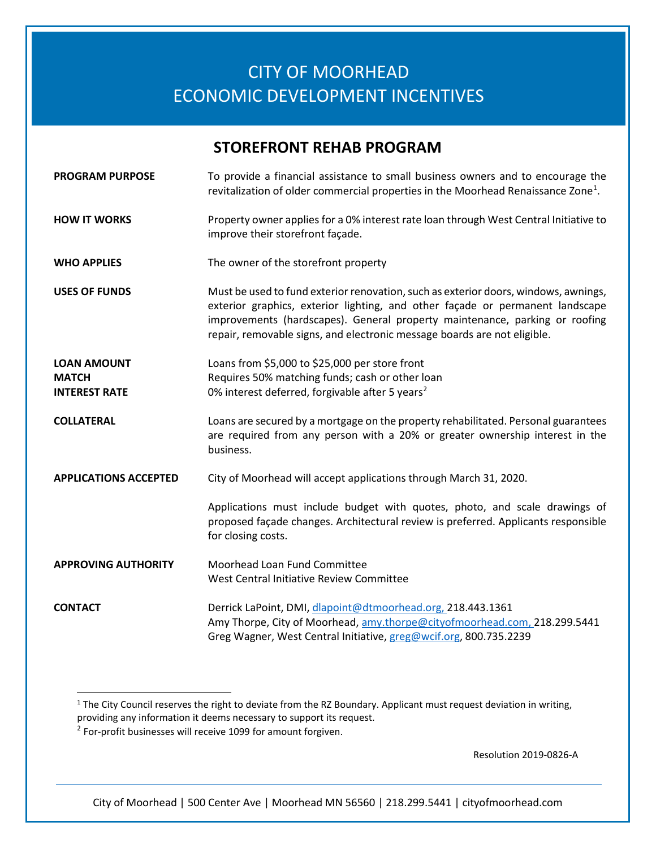## CITY OF MOORHEAD ECONOMIC DEVELOPMENT INCENTIVES

## **STOREFRONT REHAB PROGRAM**

| <b>PROGRAM PURPOSE</b>                                     | To provide a financial assistance to small business owners and to encourage the<br>revitalization of older commercial properties in the Moorhead Renaissance Zone <sup>1</sup> .                                                                                                                                                |
|------------------------------------------------------------|---------------------------------------------------------------------------------------------------------------------------------------------------------------------------------------------------------------------------------------------------------------------------------------------------------------------------------|
| <b>HOW IT WORKS</b>                                        | Property owner applies for a 0% interest rate loan through West Central Initiative to<br>improve their storefront façade.                                                                                                                                                                                                       |
| <b>WHO APPLIES</b>                                         | The owner of the storefront property                                                                                                                                                                                                                                                                                            |
| <b>USES OF FUNDS</b>                                       | Must be used to fund exterior renovation, such as exterior doors, windows, awnings,<br>exterior graphics, exterior lighting, and other façade or permanent landscape<br>improvements (hardscapes). General property maintenance, parking or roofing<br>repair, removable signs, and electronic message boards are not eligible. |
| <b>LOAN AMOUNT</b><br><b>MATCH</b><br><b>INTEREST RATE</b> | Loans from \$5,000 to \$25,000 per store front<br>Requires 50% matching funds; cash or other loan<br>0% interest deferred, forgivable after 5 years <sup>2</sup>                                                                                                                                                                |
| <b>COLLATERAL</b>                                          | Loans are secured by a mortgage on the property rehabilitated. Personal guarantees<br>are required from any person with a 20% or greater ownership interest in the<br>business.                                                                                                                                                 |
| <b>APPLICATIONS ACCEPTED</b>                               | City of Moorhead will accept applications through March 31, 2020.                                                                                                                                                                                                                                                               |
|                                                            | Applications must include budget with quotes, photo, and scale drawings of<br>proposed façade changes. Architectural review is preferred. Applicants responsible<br>for closing costs.                                                                                                                                          |
| <b>APPROVING AUTHORITY</b>                                 | Moorhead Loan Fund Committee<br>West Central Initiative Review Committee                                                                                                                                                                                                                                                        |
| <b>CONTACT</b>                                             | Derrick LaPoint, DMI, dlapoint@dtmoorhead.org, 218.443.1361<br>Amy Thorpe, City of Moorhead, amy.thorpe@cityofmoorhead.com, 218.299.5441<br>Greg Wagner, West Central Initiative, greg@wcif.org, 800.735.2239                                                                                                                   |

Resolution 2019-0826-A

City of Moorhead | 500 Center Ave | Moorhead MN 56560 | 218.299.5441 | cityofmoorhead.com

<span id="page-0-0"></span><sup>&</sup>lt;sup>1</sup> The City Council reserves the right to deviate from the RZ Boundary. Applicant must request deviation in writing, providing any information it deems necessary to support its request.

<span id="page-0-1"></span><sup>&</sup>lt;sup>2</sup> For-profit businesses will receive 1099 for amount forgiven.